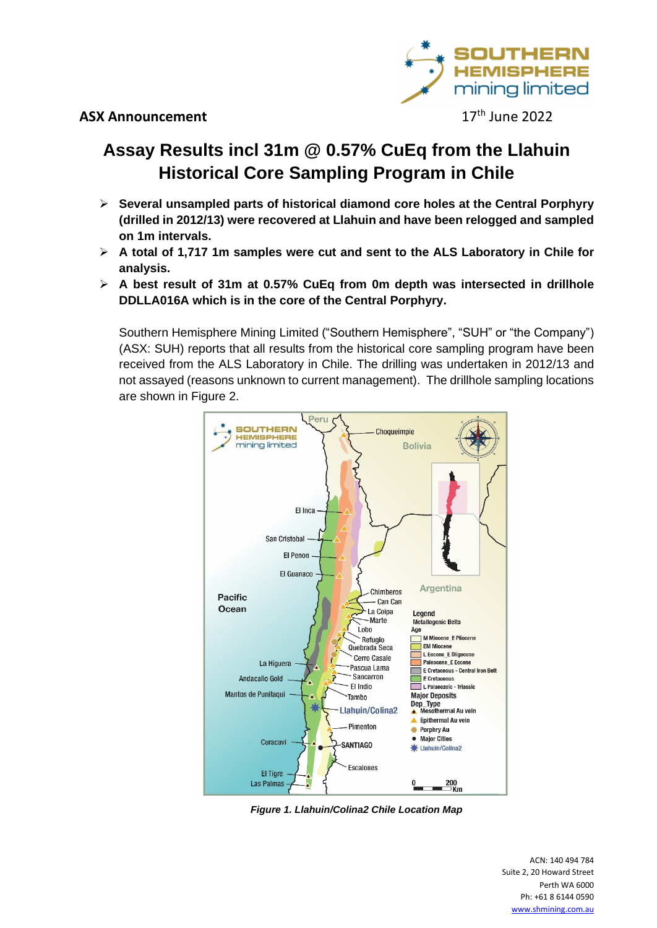

17<sup>th</sup> June 2022

### **Assay Results incl 31m @ 0.57% CuEq from the Llahuin Historical Core Sampling Program in Chile**

- **Several unsampled parts of historical diamond core holes at the Central Porphyry (drilled in 2012/13) were recovered at Llahuin and have been relogged and sampled on 1m intervals.**
- **A total of 1,717 1m samples were cut and sent to the ALS Laboratory in Chile for analysis.**
- **A best result of 31m at 0.57% CuEq from 0m depth was intersected in drillhole DDLLA016A which is in the core of the Central Porphyry.**

Southern Hemisphere Mining Limited ("Southern Hemisphere", "SUH" or "the Company") (ASX: SUH) reports that all results from the historical core sampling program have been received from the ALS Laboratory in Chile. The drilling was undertaken in 2012/13 and not assayed (reasons unknown to current management). The drillhole sampling locations are shown in Figure 2.



**Figure 1. Llahuin/Colina2 Chile Location Map**

 <sup>140</sup> <sup>494</sup> <sup>784</sup> ACN: 140 494 784<br>2, 20 Howard Street ) 494 784<br>ird Street<br>WA 6000 ACN: 140 494 784<br>ite 2, 20 Howard Street<br>Perth WA 6000<br>Ph: +61 8 6144 0590 www.shmining.com.au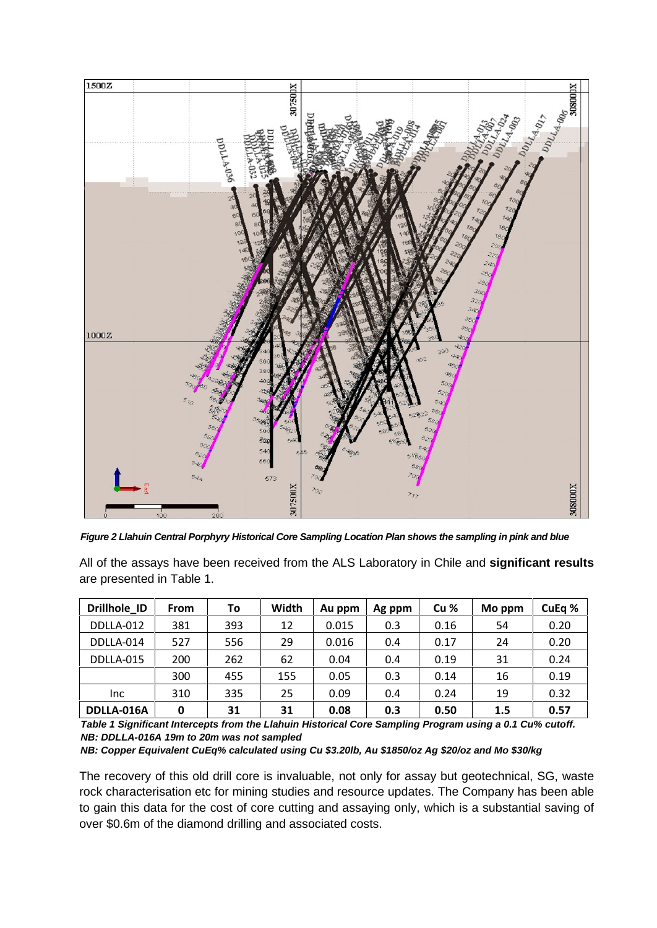

Figure 2 Llahuin Central Porphyry Historical Core Sampling Location Plan shows the sampling in pink and blue DDLLA-014

All of the assays have been received from the ALS Laboratory in Chile and **significant results are presented in Table 1. Drillhole** ID<br> **Eigure 2 Liahuin Central Porphyry Historical Core Sampling Location Plan shows the sampling in pink and blue<br>
All of the assays have been received from the ALS Laboratory in Chi** I of the as are presented in Table 1.

| Figure 2 Llahuin Central Porphyry Historical Core Sampling Location Plan shows the sampling in pink and blue               |             |     |       |        |        |                 |        |        |
|----------------------------------------------------------------------------------------------------------------------------|-------------|-----|-------|--------|--------|-----------------|--------|--------|
| All of the assays have been received from the ALS Laboratory in Chile and significant results<br>are presented in Table 1. |             |     |       |        |        |                 |        |        |
| Drillhole_ID                                                                                                               | <b>From</b> | To  | Width | Au ppm | Ag ppm | Cu <sub>%</sub> | Mo ppm | CuEq % |
| DDLLA-012                                                                                                                  | 381         | 393 | 12    | 0.015  | 0.3    | 0.16            | 54     | 0.20   |
| DDLLA-014                                                                                                                  | 527         | 556 | 29    | 0.016  | 0.4    | 0.17            | 24     | 0.20   |
| DDLLA-015                                                                                                                  | 200         | 262 | 62    | 0.04   | 0.4    | 0.19            | 31     | 0.24   |
|                                                                                                                            | 300         | 455 | 155   | 0.05   | 0.3    | 0.14            | 16     | 0.19   |
| Inc.                                                                                                                       | 310         | 335 | 25    | 0.09   | 0.4    | 0.24            | 19     | 0.32   |
| DDLLA-016A                                                                                                                 | 0           | 31  | 31    | 0.08   | 0.3    | 0.50            | 1.5    | 0.57   |

**Table 1 Significant Intercepts from the Llahuin Historical Core Sampling Program using a 0.1 Cu% cutoff. NB: DDLLA-016A 19m to 20m was notsampled**

**NB: Copper Equivalent CuEq% calculated using Cu \$3.20lb, Au \$1850/oz Ag \$20/oz and Mo \$30/kg**

The recovery of this old drill core is invaluable, not only for assay but geotechnical, SG, waste rock characterisation etc for mining studies and resource updates. The Company has been able to gain this data for the cost of core cutting and assaying only, which is a substantial saving of over \$0.6m of the diamond drilling and associated costs.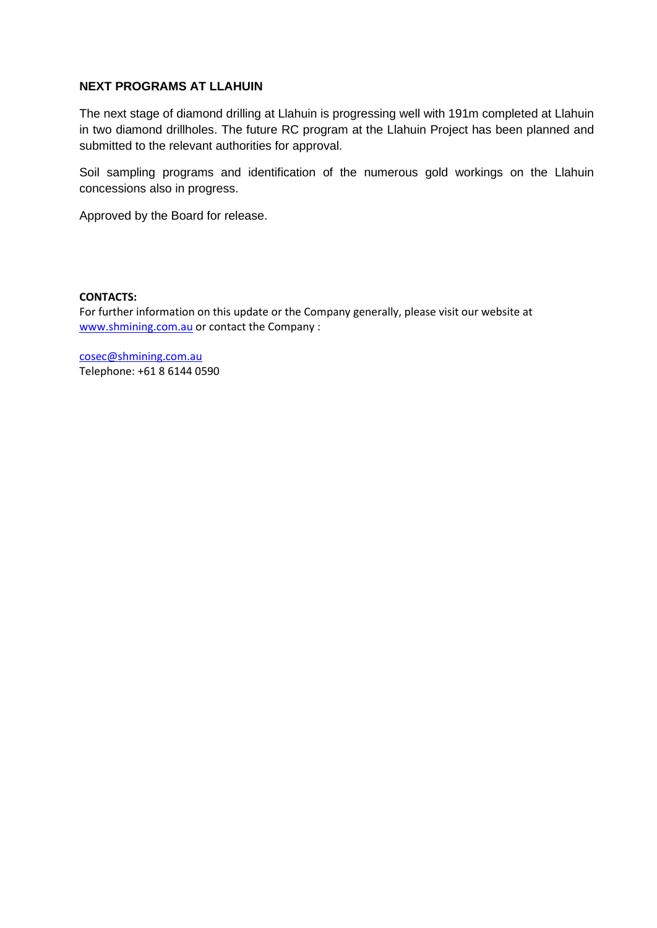### **NEXT PROGRAMS AT LLAHUIN**

The next stage of diamond drilling at Llahuin is progressing well with 191m completed at Llahuin in two diamond drillholes. The future RC program at the Llahuin Project has been planned and submitted to the relevant authorities for approval.

Soil sampling programs and identification of the numerous gold workings on the Llahuin concessions also in progress.

Approved by the Board for release.

iroved by the Board for release.<br>ITACTS:<br>further information on this update or the Company generally, please visit our website at on this update or the Company or<br>or contact the Company : information on this units<br>ting.com.au or conta<br>ining.com.au<br>+61 8 6144 0590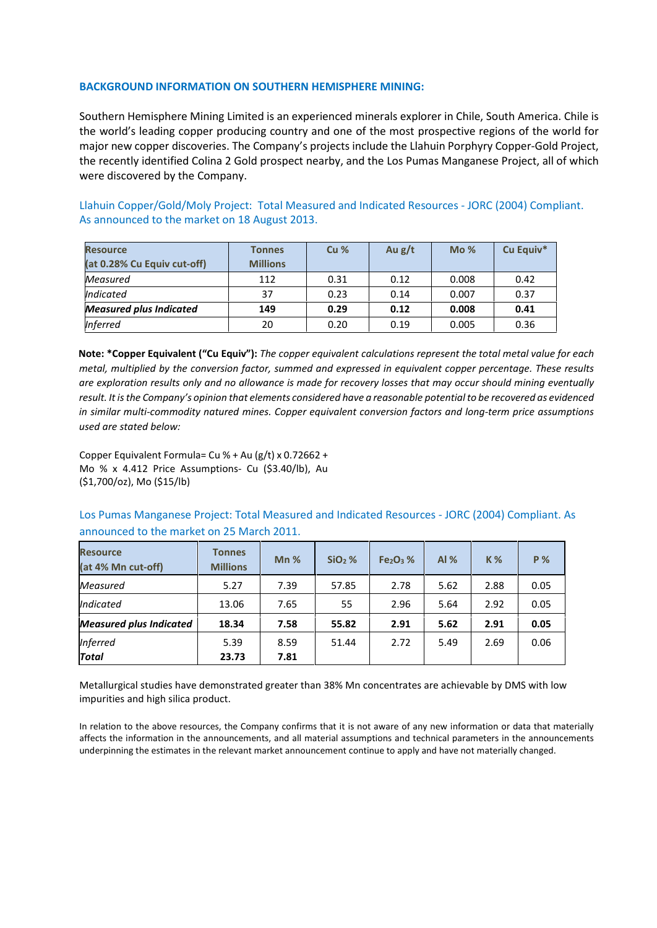# **INFORMATION ON SOUTHERN HEMISPHERE MINING: BACKGROUND INFORMATION ON SOUTHERN HEMISPHERE MINING:**

NUND INFORMATION ON SOUTHERN HEMISPHERE MINING:<br>Hemisphere Mining Limited is an experienced minerals explorer in Chile, South America. Chile is **KGROUND INFORMATION ON SOUTHERN HEMISPHERE MINING:**<br>Thern Hemisphere Mining Limited is an experienced minerals explorer in Chile, South America. Chile is<br>World's leading copper producing country and one of the most prospe **BACKGROUND INFORMATION ON SOUTHERN HEMISPHERE MINING:**<br>Southern Hemisphere Mining Limited is an experienced minerals explorer in Chile, South America. Chile is<br>the world's leading copper producing country and one of the m recently identified Colina 2 Gold prospect nearby, and the Los Pumas Manganese Project, all of which there we<br>thern Hemisphere Mining Limited is an experienced minerals explorer in Chile, South America. Chile is<br>world's le **BACKGROUND INFORMATION ON SOU**<br>Southern Hemisphere Mining Limited i<br>the world's leading copper producing<br>major new copper discoveries. The Cor<br>the recently identified Colina 2 Gold pr<br>were discovered by the Company. Southern Hemisphere Mining Limited is an experienced minerals explorer in Chile, South America. Chile is<br>the world's leading copper producing country and one of the most prospective regions of the world for<br>major new coppe **he world's leading copper producing country and o**<br>hajor new copper discoveries. The Company's project<br>he recently identified Colina 2 Gold prospect nearby<br>vere discovered by the Company.<br>lahuin Copper/Gold/Moly Project: were discovered by the Company. a prospect nearb<sub>)</sub>

**1.28 and Supponent Compart Compare Supponent Copper/Gold/Moly Prof<br>
<b>0.28% Cu Equiv** cut-off refluiting to the Company.<br>
Were discovered by the Company.<br>
Alahuin Copper/Gold/Moly Project: Total Measured and Indicated Resources - JORC (2004) Compliant.<br>
Is announced to the market on 18 August 2013.<br> **Resource Cu** *Indicated*As announced to the market on 18 August 2013.

| <b>Resource</b>                | <b>Tonnes</b>   | Cu <sub>%</sub> | Au $g/t$ | Mo%   | Cu Equiv* |
|--------------------------------|-----------------|-----------------|----------|-------|-----------|
| (at 0.28% Cu Equiv cut-off)    | <b>Millions</b> |                 |          |       |           |
| Measured                       | 112             | 0.31            | 0.12     | 0.008 | 0.42      |
| Indicated                      | 37              | 0.23            | 0.14     | 0.007 | 0.37      |
| <b>Measured plus Indicated</b> | 149             | 0.29            | 0.12     | 0.008 | 0.41      |
| <b>Inferred</b>                | 20              | 0.20            | 0.19     | 0.005 | 0.36      |

 *exploration results only and no allowance is made for recovery losses that may occur should mining eventually IA9* **b 149 b 149 company compary** *Compary <b>COPP <i>Compary <b>COPP Compary COPP Company COPP Company <i>COPPERTY <b>COPP COPP COPP COPP COPP COPP COPP COPP COPP COPP COPP COPP CO similar* **https://** The competent of the competer  $\mathbf{c}$  and  $\mathbf{c}$   $\mathbf{c}$   $\mathbf{c}$   $\mathbf{c}$   $\mathbf{c}$   $\mathbf{c}$   $\mathbf{c}$   $\mathbf{c}$   $\mathbf{c}$   $\mathbf{c}$   $\mathbf{c}$   $\mathbf{c}$   $\mathbf{c}$   $\mathbf{c}$   $\mathbf{c}$   $\mathbf{c}$   $\mathbf{c}$   $\mathbf{$ **Note: \*Copper Equivalent (**<br>*metal, multiplied by the coare exploration results only<br><i>result. It is the Company's op*<br>*in similar multi-commodity*<br>used are stated below: multiplied by the conversion factor, summed and express<br>loration results only and no allowance is made for recove<br>is the Company's opinion that elements considered have a<br>paramula: Company is opinion that elements consider are exploration results only and no allowance is made for recovery losses that may occur should mining eventually exploration results only and no allowance is made for recove<br>
It. It is the Company's opinion that elements considered have a<br>
milar multi-commodity natured mines. Copper equivalent co<br>
ore Equivalent Formula= Cu % + Au (g result. It is th in similar multi-commodity natured mines. Copper equivalent conversion factors and long-term price assumptions<br>used are stated below:<br>Copper Equivalent Formula= Cu % + Au (g/t) x 0.72662 + used are stated below:

Pumas Manganese Project: Total Measured and Indicated Resources - JORC (2004) Compliant. As<br>Pumas Manganese Project: Total Measured and Indicated Resources - JORC (2004) Compliant. As<br>Pumas Manganese Project: Total Measure Copper Equivalent Formula= Cu % + Au (g/t) x 0.72662<br>Mo % x 4.412 Price Assumptions- Cu (\$3.40/lb), A<br>(\$1,700/oz), Mo (\$15/lb)<br>Los Pumas Manganese Project: Total Measured an<br>announced to the market on 25 March 2011. (\$1,700/oz), Mo (\$15/lb) otions- Cu (\$3.40

 **4% Mn cut-off) % SiO2 % Fe2O<sup>3</sup> % Al % <sup>K</sup> % <sup>P</sup> %** LOS Pum *Measured*

|                                       |                                  | announced to the market on 25 March 2011. |          |           |        |           |           |
|---------------------------------------|----------------------------------|-------------------------------------------|----------|-----------|--------|-----------|-----------|
| <b>Resource</b><br>(at 4% Mn cut-off) | <b>Tonnes</b><br><b>Millions</b> | $Mn$ %                                    | $SiO2$ % | $Fe2O3$ % | Al $%$ | <b>K%</b> | <b>P%</b> |
| Measured                              | 5.27                             | 7.39                                      | 57.85    | 2.78      | 5.62   | 2.88      | 0.05      |
| Indicated                             | 13.06                            | 7.65                                      | 55       | 2.96      | 5.64   | 2.92      | 0.05      |
| <b>Measured plus Indicated</b>        | 18.34                            | 7.58                                      | 55.82    | 2.91      | 5.62   | 2.91      | 0.05      |
| <b>Inferred</b>                       | 5.39                             | 8.59                                      | 51.44    | 2.72      | 5.49   | 2.69      | 0.06      |
| <b>Total</b>                          | 23.73                            | 7.81                                      |          |           |        |           |           |

relation to the above resources, the Company confirms that it is not aware of any new information or data that materially Total<br>
Interallurgical studies have demonstrated greater than 38% Mn concentrates are achievable by DMS with low<br>
In relation to the above resources, the Company confirms that it is not aware of any new information or data

I studies have demonstrated greater than 38% Mn concentrates are achievable by DMS with Id<br>high silica product.<br>the above resources, the Company confirms that it is not aware of any new information or data that r<br>formation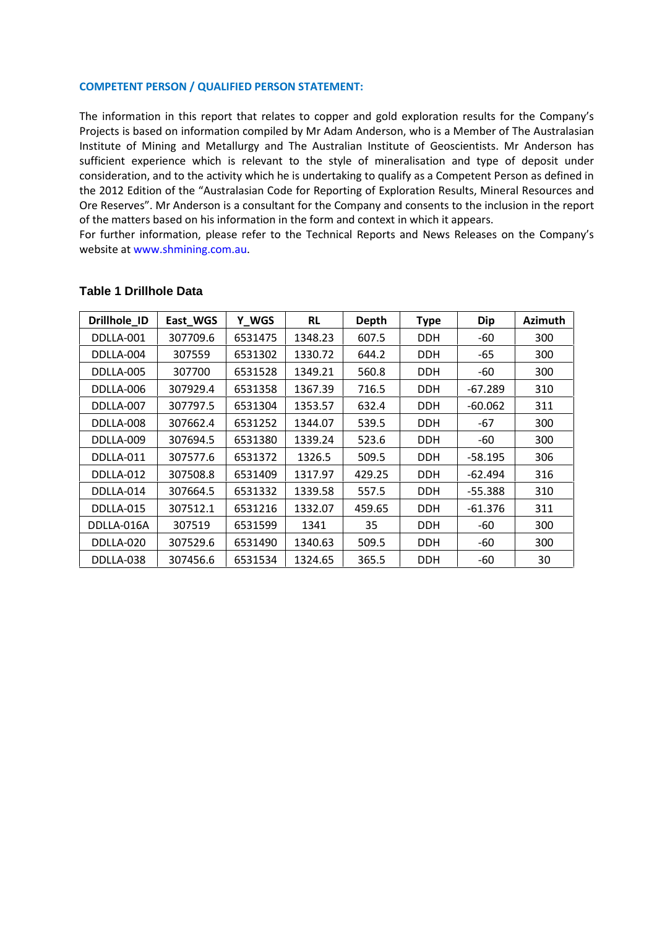## **PERSON / QUALIFIED PERSON STATEMENT:** COMPETENT D the

**IPETENT PERSON / QUALIFIED PERSON STATEMENT:**<br>information in this report that relates to copper and gold exploration results for the Company's ENT PERSON / QUALIFIED PERSON STATEMENT:<br>is based on information compiled by Mr Adam Anderson, who is a Member of The Australasian of Mining and Metallurgy and State Metallurgy and Metallurgy and Metallurgy and Metallurgy and Metallurgy and The Australian Institute of Geoscientists. Mr Anderson has<br>The Mining and Metallurgy and The Australian Institut NT PERSON / QUALIFIED PERSON STATEMENT:<br>nation in this report that relates to copper and gold exploration results for the Company's<br>based on information compiled by Mr Adam Anderson, who is a Member of The Australasian<br>of **ERSON / QUALIFIED PERSON STATEMENT:**<br>an in this report that relates to copper and gold exploration results for the Company's<br>ed on information compiled by Mr Adam Anderson, who is a Member of The Australasian<br>ining and Me Information in this report that relates to copper and gold exploration results for the Company's<br>ects is based on information compiled by Mr Adam Anderson, who is a Member of The Australasian<br>itute of Mining and Metallurgy The information in this report that relates to copper and gold exploration results for the Company's<br>ects is based on information compiled by Mr Adam Anderson, who is a Member of The Australasian<br>tute of Mining and Metallurgy .<br>Dr Projects is based on information compiled by Mr Adam Anderson, who is a Member of T<br>Institute of Mining and Metallurgy and The Australian Institute of Geoscientists. Mi<br>sufficient experience which is relevant to the style Further of Mining and Metallurgy and The Australian Institute of Geoscientists. Mr Anderson has<br>cient experience which is relevant to the style of mineralisation and type of deposit under<br>sideration, and to the activity wh sufficient experience which is relevant to the style of mineralisation and type of deposit under t experience which is releva<br>ation, and to the activity which<br>2 Edition of the "Australasian C<br>erves". Mr Anderson is a consu<br>atters based on his information<br>ner information, please refer t<br>at www.shmining.com.au. **Drilling**<br>Contracts

For further information, please refer to the Technical Reports and News Releases on the Company's n nandre.<br>Dheito at ww

| website at www.shmining.com.au. |          |         |           |              |             |            |                |
|---------------------------------|----------|---------|-----------|--------------|-------------|------------|----------------|
|                                 |          |         |           |              |             |            |                |
| <b>Table 1 Drillhole Data</b>   |          |         |           |              |             |            |                |
| Drillhole_ID                    | East_WGS | Y_WGS   | <b>RL</b> | <b>Depth</b> | <b>Type</b> | <b>Dip</b> | <b>Azimuth</b> |
| DDLLA-001                       | 307709.6 | 6531475 | 1348.23   | 607.5        | <b>DDH</b>  | -60        | 300            |
| DDLLA-004                       | 307559   | 6531302 | 1330.72   | 644.2        | DDH         | -65        | 300            |
| DDLLA-005                       | 307700   | 6531528 | 1349.21   | 560.8        | <b>DDH</b>  | -60        | 300            |
| DDLLA-006                       | 307929.4 | 6531358 | 1367.39   | 716.5        | DDH         | -67.289    | 310            |
| DDLLA-007                       | 307797.5 | 6531304 | 1353.57   | 632.4        | <b>DDH</b>  | $-60.062$  | 311            |
| DDLLA-008                       | 307662.4 | 6531252 | 1344.07   | 539.5        | <b>DDH</b>  | -67        | 300            |
| DDLLA-009                       | 307694.5 | 6531380 | 1339.24   | 523.6        | <b>DDH</b>  | $-60$      | 300            |
| DDLLA-011                       | 307577.6 | 6531372 | 1326.5    | 509.5        | <b>DDH</b>  | $-58.195$  | 306            |
| DDLLA-012                       | 307508.8 | 6531409 | 1317.97   | 429.25       | <b>DDH</b>  | -62.494    | 316            |
| DDLLA-014                       | 307664.5 | 6531332 | 1339.58   | 557.5        | <b>DDH</b>  | $-55.388$  | 310            |
| DDLLA-015                       | 307512.1 | 6531216 | 1332.07   | 459.65       | <b>DDH</b>  | $-61.376$  | 311            |
| DDLLA-016A                      | 307519   | 6531599 | 1341      | 35           | <b>DDH</b>  | -60        | 300            |
| DDLLA-020                       | 307529.6 | 6531490 | 1340.63   | 509.5        | <b>DDH</b>  | -60        | 300            |
| DDLLA-038                       | 307456.6 | 6531534 | 1324.65   | 365.5        | <b>DDH</b>  | -60        | 30             |

### **Table 1 Drillhole Data** DDLLA-006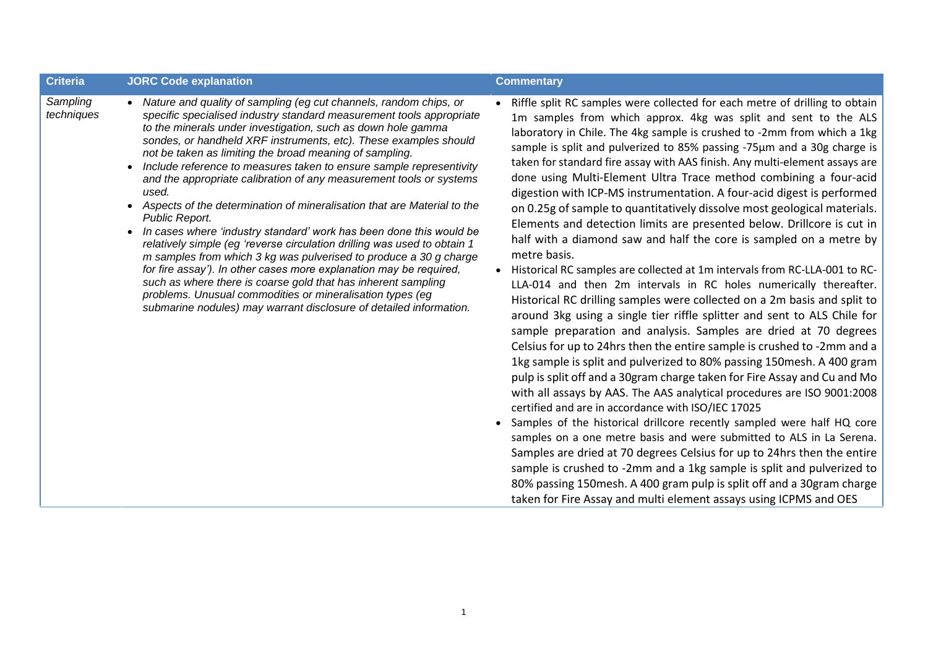| <b>Criteria</b><br><b>JORC Code explanation</b>                                                                                                                                                                                                                                                                                                                                                                                                                                                                                                                                                                                                                                                                                                                                                                                                                                                                                                                                                                                                                                                                                           | <b>Commentary</b>                                                                                                                                                                                                                                                                                                                                                                                                                                                                                                                                                                                                                                                                                                                                                                                                                                                                                                                                                                                                                                                                                                                                                                                                                                                                                                                                                                                                                                                                                                                                                                                                                                                                                                                                                                                                                         |
|-------------------------------------------------------------------------------------------------------------------------------------------------------------------------------------------------------------------------------------------------------------------------------------------------------------------------------------------------------------------------------------------------------------------------------------------------------------------------------------------------------------------------------------------------------------------------------------------------------------------------------------------------------------------------------------------------------------------------------------------------------------------------------------------------------------------------------------------------------------------------------------------------------------------------------------------------------------------------------------------------------------------------------------------------------------------------------------------------------------------------------------------|-------------------------------------------------------------------------------------------------------------------------------------------------------------------------------------------------------------------------------------------------------------------------------------------------------------------------------------------------------------------------------------------------------------------------------------------------------------------------------------------------------------------------------------------------------------------------------------------------------------------------------------------------------------------------------------------------------------------------------------------------------------------------------------------------------------------------------------------------------------------------------------------------------------------------------------------------------------------------------------------------------------------------------------------------------------------------------------------------------------------------------------------------------------------------------------------------------------------------------------------------------------------------------------------------------------------------------------------------------------------------------------------------------------------------------------------------------------------------------------------------------------------------------------------------------------------------------------------------------------------------------------------------------------------------------------------------------------------------------------------------------------------------------------------------------------------------------------------|
| Sampling<br>• Nature and quality of sampling (eg cut channels, random chips, or<br>techniques<br>specific specialised industry standard measurement tools appropriate<br>to the minerals under investigation, such as down hole gamma<br>sondes, or handheld XRF instruments, etc). These examples should<br>not be taken as limiting the broad meaning of sampling.<br>• Include reference to measures taken to ensure sample representivity<br>and the appropriate calibration of any measurement tools or systems<br>used.<br>Aspects of the determination of mineralisation that are Material to the<br>Public Report.<br>In cases where 'industry standard' work has been done this would be<br>$\bullet$<br>relatively simple (eg 'reverse circulation drilling was used to obtain 1<br>m samples from which 3 kg was pulverised to produce a 30 g charge<br>for fire assay'). In other cases more explanation may be required,<br>such as where there is coarse gold that has inherent sampling<br>problems. Unusual commodities or mineralisation types (eg<br>submarine nodules) may warrant disclosure of detailed information. | Riffle split RC samples were collected for each metre of drilling to obtain<br>1m samples from which approx. 4kg was split and sent to the ALS<br>laboratory in Chile. The 4kg sample is crushed to -2mm from which a 1kg<br>sample is split and pulverized to 85% passing -75µm and a 30g charge is<br>taken for standard fire assay with AAS finish. Any multi-element assays are<br>done using Multi-Element Ultra Trace method combining a four-acid<br>digestion with ICP-MS instrumentation. A four-acid digest is performed<br>on 0.25g of sample to quantitatively dissolve most geological materials.<br>Elements and detection limits are presented below. Drillcore is cut in<br>half with a diamond saw and half the core is sampled on a metre by<br>metre basis.<br>• Historical RC samples are collected at 1m intervals from RC-LLA-001 to RC-<br>LLA-014 and then 2m intervals in RC holes numerically thereafter.<br>Historical RC drilling samples were collected on a 2m basis and split to<br>around 3kg using a single tier riffle splitter and sent to ALS Chile for<br>sample preparation and analysis. Samples are dried at 70 degrees<br>Celsius for up to 24hrs then the entire sample is crushed to -2mm and a<br>1kg sample is split and pulverized to 80% passing 150 mesh. A 400 gram<br>pulp is split off and a 30gram charge taken for Fire Assay and Cu and Mo<br>with all assays by AAS. The AAS analytical procedures are ISO 9001:2008<br>certified and are in accordance with ISO/IEC 17025<br>• Samples of the historical drillcore recently sampled were half HQ core<br>samples on a one metre basis and were submitted to ALS in La Serena.<br>Samples are dried at 70 degrees Celsius for up to 24hrs then the entire<br>sample is crushed to -2mm and a 1kg sample is split and pulverized to |

be split off and a 30gram enalge taken for the rissay and ed and mo<br>all assays by AAS. The AAS analytical procedures are ISO 9001:2008<br>fied and are in accordance with ISO/IEC 17025<br>ples of the historical drillcore recently

samples on a one metre basis and were submitted to ALS in La Serena.<br>Samples are dried at 70 degrees Celsius for up to 24hrs then the entire<br>sample is crushed to -2mm and a 1kg sample is split and pulverized to<br>80% passing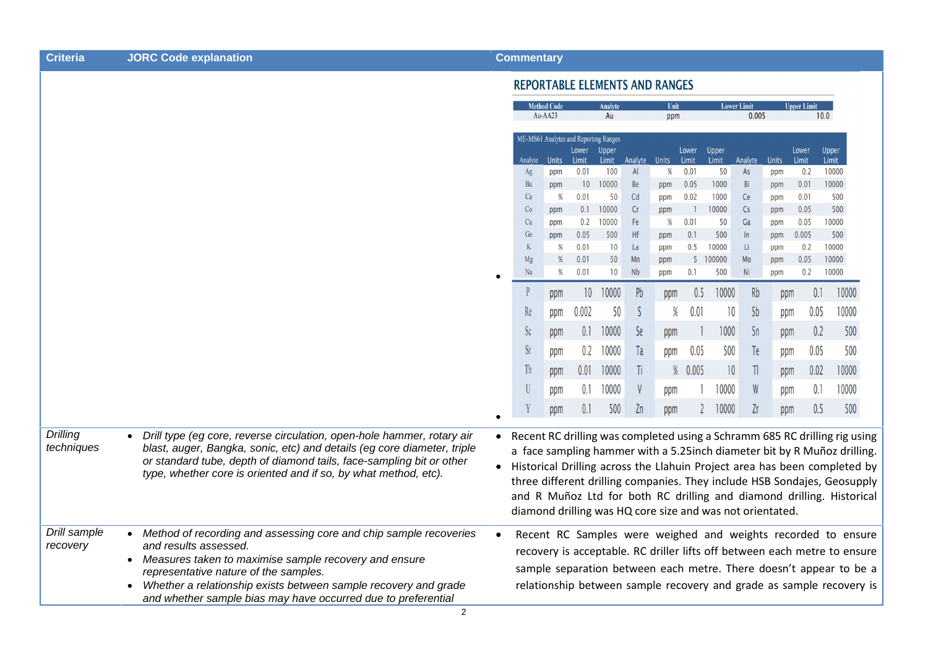| <b>Criteria</b>                                                                                                                                                                                                                       | <b>JORC Code explanation</b>                                                                                                                                                                                                                                                                 |                                       | <b>Commentary</b>               |                      |                                                |               |                     |             |                        |                    |                                                           |                     |                            |                                                                                                                                                                                                                                                                                                                                                                                              |  |  |
|---------------------------------------------------------------------------------------------------------------------------------------------------------------------------------------------------------------------------------------|----------------------------------------------------------------------------------------------------------------------------------------------------------------------------------------------------------------------------------------------------------------------------------------------|---------------------------------------|---------------------------------|----------------------|------------------------------------------------|---------------|---------------------|-------------|------------------------|--------------------|-----------------------------------------------------------|---------------------|----------------------------|----------------------------------------------------------------------------------------------------------------------------------------------------------------------------------------------------------------------------------------------------------------------------------------------------------------------------------------------------------------------------------------------|--|--|
|                                                                                                                                                                                                                                       |                                                                                                                                                                                                                                                                                              | <b>REPORTABLE ELEMENTS AND RANGES</b> |                                 |                      |                                                |               |                     |             |                        |                    |                                                           |                     |                            |                                                                                                                                                                                                                                                                                                                                                                                              |  |  |
|                                                                                                                                                                                                                                       |                                                                                                                                                                                                                                                                                              |                                       | <b>Method Code</b><br>$Au-AA23$ |                      |                                                | Analyte<br>Au |                     | Unit<br>ppm |                        |                    | <b>Lower Limit</b><br>0.005                               |                     | <b>Upper Limit</b><br>10.0 |                                                                                                                                                                                                                                                                                                                                                                                              |  |  |
|                                                                                                                                                                                                                                       |                                                                                                                                                                                                                                                                                              |                                       |                                 |                      | ME-MS61 Analytes and Reporting Ranges<br>Lower | <b>Upper</b>  |                     |             | Lower                  | Upper              |                                                           |                     | Lower                      | Upper                                                                                                                                                                                                                                                                                                                                                                                        |  |  |
|                                                                                                                                                                                                                                       |                                                                                                                                                                                                                                                                                              |                                       | Ag                              | Analyte Units<br>ppm | Limit<br>0.01                                  | Limit<br>100  | Analyte Units<br>AI | %           | Limit<br>0.01          | <b>Limit</b><br>50 | Analyte<br>As                                             | <b>Units</b><br>ppm | Limit<br>0.2               | Limit<br>10000                                                                                                                                                                                                                                                                                                                                                                               |  |  |
|                                                                                                                                                                                                                                       |                                                                                                                                                                                                                                                                                              |                                       | Ba                              | ppm                  | 10                                             | 10000         | <b>Be</b>           | ppm         | 0.05                   | 1000               | Bi                                                        | ppm                 | 0.01                       | 10000                                                                                                                                                                                                                                                                                                                                                                                        |  |  |
|                                                                                                                                                                                                                                       |                                                                                                                                                                                                                                                                                              |                                       | Ca<br>Co                        | %<br>ppm             | 0.01<br>0.1                                    | 50<br>10000   | Cd<br>Cr            | ppm<br>ppm  | 0.02<br>$\overline{1}$ | 1000<br>10000      | Ce<br>Cs                                                  | ppm<br>ppm          | 0.01<br>0.05               | 500<br>500                                                                                                                                                                                                                                                                                                                                                                                   |  |  |
|                                                                                                                                                                                                                                       |                                                                                                                                                                                                                                                                                              |                                       | Cu                              | ppm                  | 0.2                                            | 10000         | Fe                  | %           | 0.01                   | 50                 | Ga                                                        | ppm                 | 0.05                       | 10000                                                                                                                                                                                                                                                                                                                                                                                        |  |  |
|                                                                                                                                                                                                                                       |                                                                                                                                                                                                                                                                                              |                                       | Ge<br>K                         | ppm<br>%             | 0.05<br>0.01                                   | 500<br>10     | Hf<br>La            | ppm<br>ppm  | 0.1<br>0.5             | 500<br>10000       | $\ln$<br>Li                                               | ppm<br>ppm          | 0.005<br>0.2               | 500<br>10000                                                                                                                                                                                                                                                                                                                                                                                 |  |  |
|                                                                                                                                                                                                                                       |                                                                                                                                                                                                                                                                                              |                                       | Mg                              | %                    | 0.01                                           | 50            | Mn                  | ppm         |                        | 5 100000           | Mo                                                        | ppm                 | 0.05                       | 10000                                                                                                                                                                                                                                                                                                                                                                                        |  |  |
|                                                                                                                                                                                                                                       |                                                                                                                                                                                                                                                                                              |                                       | Na                              | %                    | 0.01                                           | 10            | <b>Nb</b>           | ppm         | 0.1                    | 500                | Ni                                                        | ppm                 | 0.2                        | 10000                                                                                                                                                                                                                                                                                                                                                                                        |  |  |
|                                                                                                                                                                                                                                       |                                                                                                                                                                                                                                                                                              |                                       |                                 | ppm                  | 10                                             | 10000         | Pb                  | ppm         | 0.5                    | 10000              | Rb                                                        | ppm                 | 0.1                        | 10000                                                                                                                                                                                                                                                                                                                                                                                        |  |  |
|                                                                                                                                                                                                                                       |                                                                                                                                                                                                                                                                                              |                                       | Re                              | ppm                  | 0.002                                          | 50            | S                   | $\%$        | 0.01                   | 10                 | <b>Sb</b>                                                 | ppm                 | 0.05                       | 10000                                                                                                                                                                                                                                                                                                                                                                                        |  |  |
|                                                                                                                                                                                                                                       |                                                                                                                                                                                                                                                                                              |                                       | $\rm Sc$                        | ppm                  | 0.1                                            | 10000         | Se                  | ppm         |                        | 1000               | Sn                                                        | ppm                 | 0.2                        | 500                                                                                                                                                                                                                                                                                                                                                                                          |  |  |
|                                                                                                                                                                                                                                       |                                                                                                                                                                                                                                                                                              |                                       | <b>Sr</b>                       | ppm                  | 0.2                                            | 10000         | Ta                  | ppm         | 0.05                   | 500                | Te                                                        | ppm                 | 0.05                       | 500                                                                                                                                                                                                                                                                                                                                                                                          |  |  |
|                                                                                                                                                                                                                                       |                                                                                                                                                                                                                                                                                              |                                       | Th                              | ppm                  | 0.01                                           | 10000         | Ti                  |             | % 0.005                | 10                 | $\mathbb{I}$                                              | ppm                 | 0.02                       | 10000                                                                                                                                                                                                                                                                                                                                                                                        |  |  |
|                                                                                                                                                                                                                                       |                                                                                                                                                                                                                                                                                              |                                       | $\mathbf U$                     | ppm                  | 0.1                                            | 10000         |                     | ppm         |                        | 10000              | W                                                         | ppm                 | 0.1                        | 10000                                                                                                                                                                                                                                                                                                                                                                                        |  |  |
|                                                                                                                                                                                                                                       |                                                                                                                                                                                                                                                                                              |                                       |                                 | ppm                  | 0.1                                            | 500           | Zn                  | ppm         | $\overline{2}$         | 10000              | Zr                                                        | ppm                 | 0.5                        | 500                                                                                                                                                                                                                                                                                                                                                                                          |  |  |
| <b>Drilling</b><br>techniques                                                                                                                                                                                                         | Drill type (eg core, reverse circulation, open-hole hammer, rotary air<br>blast, auger, Bangka, sonic, etc) and details (eg core diameter, triple<br>or standard tube, depth of diamond tails, face-sampling bit or other<br>type, whether core is oriented and if so, by what method, etc). |                                       |                                 |                      |                                                |               |                     |             |                        |                    |                                                           |                     |                            | • Recent RC drilling was completed using a Schramm 685 RC drilling rig using<br>a face sampling hammer with a 5.25inch diameter bit by R Muñoz drilling.<br>• Historical Drilling across the Llahuin Project area has been completed by<br>three different drilling companies. They include HSB Sondajes, Geosupply<br>and R Muñoz Ltd for both RC drilling and diamond drilling. Historical |  |  |
|                                                                                                                                                                                                                                       |                                                                                                                                                                                                                                                                                              |                                       |                                 |                      |                                                |               |                     |             |                        |                    | diamond drilling was HQ core size and was not orientated. |                     |                            |                                                                                                                                                                                                                                                                                                                                                                                              |  |  |
| Drill sample<br>Method of recording and assessing core and chip sample recoveries<br>$\bullet$<br>recovery<br>and results assessed.<br>Measures taken to maximise sample recovery and ensure<br>representative nature of the samples. |                                                                                                                                                                                                                                                                                              |                                       |                                 |                      |                                                |               |                     |             |                        |                    |                                                           |                     |                            | Recent RC Samples were weighed and weights recorded to ensure<br>recovery is acceptable. RC driller lifts off between each metre to ensure<br>sample separation between each metre. There doesn't appear to be a                                                                                                                                                                             |  |  |
|                                                                                                                                                                                                                                       | Whether a relationship exists between sample recovery and grade<br>$\bullet$<br>and whether sample bias may have occurred due to preferential                                                                                                                                                |                                       |                                 |                      |                                                |               |                     |             |                        |                    |                                                           |                     |                            | relationship between sample recovery and grade as sample recovery is                                                                                                                                                                                                                                                                                                                         |  |  |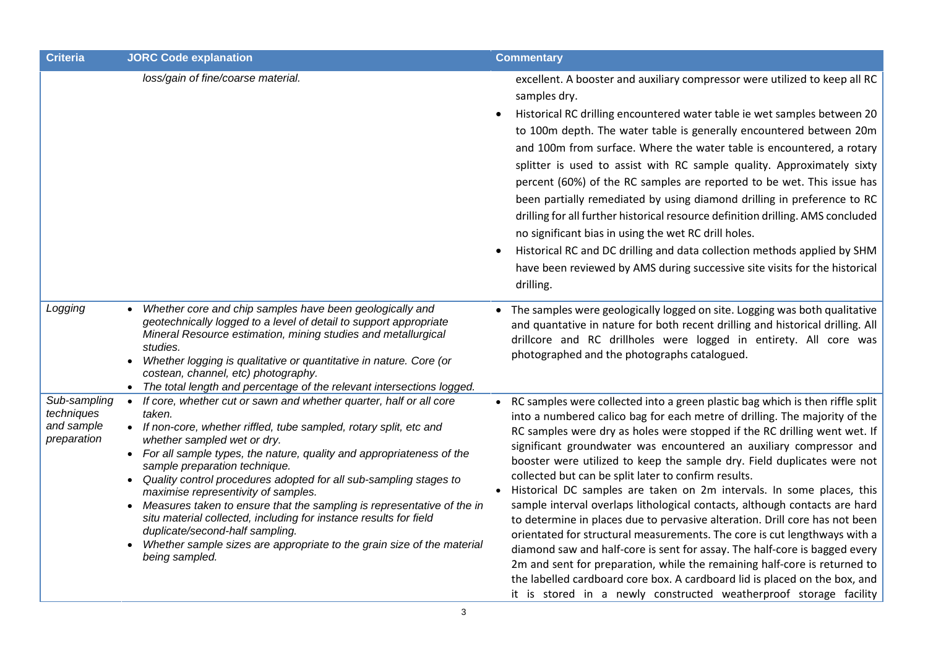| <b>Criteria</b>                                         | <b>JORC Code explanation</b>                                                                                                                                                                                                                                                                                                                                                                                                                                                                                                                                                                                                                                                                                                   | <b>Commentary</b>                                                                                                                                                                                                                                                                                                                                                                                                                                                                                                                                                                                                                                                                                                                                                                                                                                                                                                                                                                                                                                                                                             |
|---------------------------------------------------------|--------------------------------------------------------------------------------------------------------------------------------------------------------------------------------------------------------------------------------------------------------------------------------------------------------------------------------------------------------------------------------------------------------------------------------------------------------------------------------------------------------------------------------------------------------------------------------------------------------------------------------------------------------------------------------------------------------------------------------|---------------------------------------------------------------------------------------------------------------------------------------------------------------------------------------------------------------------------------------------------------------------------------------------------------------------------------------------------------------------------------------------------------------------------------------------------------------------------------------------------------------------------------------------------------------------------------------------------------------------------------------------------------------------------------------------------------------------------------------------------------------------------------------------------------------------------------------------------------------------------------------------------------------------------------------------------------------------------------------------------------------------------------------------------------------------------------------------------------------|
|                                                         | loss/gain of fine/coarse material.                                                                                                                                                                                                                                                                                                                                                                                                                                                                                                                                                                                                                                                                                             | excellent. A booster and auxiliary compressor were utilized to keep all RC<br>samples dry.<br>Historical RC drilling encountered water table ie wet samples between 20<br>$\bullet$<br>to 100m depth. The water table is generally encountered between 20m<br>and 100m from surface. Where the water table is encountered, a rotary<br>splitter is used to assist with RC sample quality. Approximately sixty<br>percent (60%) of the RC samples are reported to be wet. This issue has<br>been partially remediated by using diamond drilling in preference to RC<br>drilling for all further historical resource definition drilling. AMS concluded<br>no significant bias in using the wet RC drill holes.<br>Historical RC and DC drilling and data collection methods applied by SHM<br>$\bullet$<br>have been reviewed by AMS during successive site visits for the historical<br>drilling.                                                                                                                                                                                                             |
| Logging                                                 | Whether core and chip samples have been geologically and<br>$\bullet$<br>geotechnically logged to a level of detail to support appropriate<br>Mineral Resource estimation, mining studies and metallurgical<br>studies.<br>Whether logging is qualitative or quantitative in nature. Core (or<br>$\bullet$<br>costean, channel, etc) photography.<br>• The total length and percentage of the relevant intersections logged.                                                                                                                                                                                                                                                                                                   | The samples were geologically logged on site. Logging was both qualitative<br>$\bullet$<br>and quantative in nature for both recent drilling and historical drilling. All<br>drillcore and RC drillholes were logged in entirety. All core was<br>photographed and the photographs catalogued.                                                                                                                                                                                                                                                                                                                                                                                                                                                                                                                                                                                                                                                                                                                                                                                                                |
| Sub-sampling<br>techniques<br>and sample<br>preparation | If core, whether cut or sawn and whether quarter, half or all core<br>$\bullet$<br>taken.<br>• If non-core, whether riffled, tube sampled, rotary split, etc and<br>whether sampled wet or dry.<br>• For all sample types, the nature, quality and appropriateness of the<br>sample preparation technique.<br>Quality control procedures adopted for all sub-sampling stages to<br>maximise representivity of samples.<br>Measures taken to ensure that the sampling is representative of the in<br>$\bullet$<br>situ material collected, including for instance results for field<br>duplicate/second-half sampling.<br>Whether sample sizes are appropriate to the grain size of the material<br>$\bullet$<br>being sampled. | RC samples were collected into a green plastic bag which is then riffle split<br>$\bullet$<br>into a numbered calico bag for each metre of drilling. The majority of the<br>RC samples were dry as holes were stopped if the RC drilling went wet. If<br>significant groundwater was encountered an auxiliary compressor and<br>booster were utilized to keep the sample dry. Field duplicates were not<br>collected but can be split later to confirm results.<br>Historical DC samples are taken on 2m intervals. In some places, this<br>$\bullet$<br>sample interval overlaps lithological contacts, although contacts are hard<br>to determine in places due to pervasive alteration. Drill core has not been<br>orientated for structural measurements. The core is cut lengthways with a<br>diamond saw and half-core is sent for assay. The half-core is bagged every<br>2m and sent for preparation, while the remaining half-core is returned to<br>the labelled cardboard core box. A cardboard lid is placed on the box, and<br>it is stored in a newly constructed weatherproof storage facility |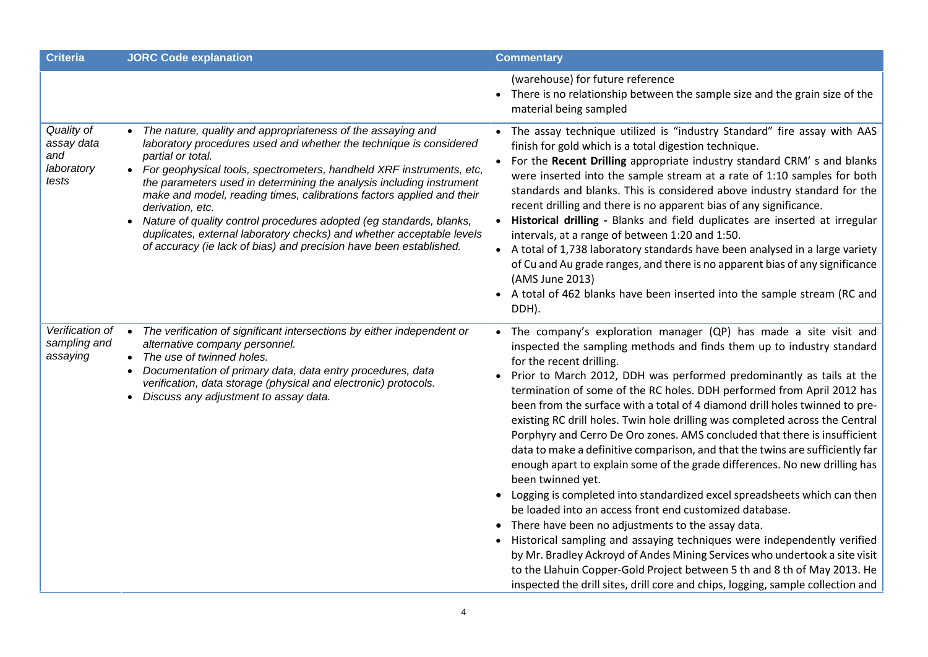| <b>Criteria</b>                                        | <b>JORC Code explanation</b>                                                                                                                                                                                                                                                                                                                                                                                                                                                                                                                                                                                                                        | <b>Commentary</b>                                                                                                                                                                                                                                                                                                                                                                                                                                                                                                                                                                                                                                                                                                                                                                                                                                                                                                                                                                                                                                                                                                                                                                                                                                                                        |
|--------------------------------------------------------|-----------------------------------------------------------------------------------------------------------------------------------------------------------------------------------------------------------------------------------------------------------------------------------------------------------------------------------------------------------------------------------------------------------------------------------------------------------------------------------------------------------------------------------------------------------------------------------------------------------------------------------------------------|------------------------------------------------------------------------------------------------------------------------------------------------------------------------------------------------------------------------------------------------------------------------------------------------------------------------------------------------------------------------------------------------------------------------------------------------------------------------------------------------------------------------------------------------------------------------------------------------------------------------------------------------------------------------------------------------------------------------------------------------------------------------------------------------------------------------------------------------------------------------------------------------------------------------------------------------------------------------------------------------------------------------------------------------------------------------------------------------------------------------------------------------------------------------------------------------------------------------------------------------------------------------------------------|
|                                                        |                                                                                                                                                                                                                                                                                                                                                                                                                                                                                                                                                                                                                                                     | (warehouse) for future reference<br>• There is no relationship between the sample size and the grain size of the<br>material being sampled                                                                                                                                                                                                                                                                                                                                                                                                                                                                                                                                                                                                                                                                                                                                                                                                                                                                                                                                                                                                                                                                                                                                               |
| Quality of<br>assay data<br>and<br>laboratory<br>tests | The nature, quality and appropriateness of the assaying and<br>$\bullet$<br>laboratory procedures used and whether the technique is considered<br>partial or total.<br>For geophysical tools, spectrometers, handheld XRF instruments, etc,<br>the parameters used in determining the analysis including instrument<br>make and model, reading times, calibrations factors applied and their<br>derivation, etc.<br>Nature of quality control procedures adopted (eg standards, blanks,<br>$\bullet$<br>duplicates, external laboratory checks) and whether acceptable levels<br>of accuracy (ie lack of bias) and precision have been established. | The assay technique utilized is "industry Standard" fire assay with AAS<br>finish for gold which is a total digestion technique.<br>For the Recent Drilling appropriate industry standard CRM's and blanks<br>were inserted into the sample stream at a rate of 1:10 samples for both<br>standards and blanks. This is considered above industry standard for the<br>recent drilling and there is no apparent bias of any significance.<br>Historical drilling - Blanks and field duplicates are inserted at irregular<br>intervals, at a range of between 1:20 and 1:50.<br>• A total of 1,738 laboratory standards have been analysed in a large variety<br>of Cu and Au grade ranges, and there is no apparent bias of any significance<br>(AMS June 2013)<br>• A total of 462 blanks have been inserted into the sample stream (RC and<br>DDH).                                                                                                                                                                                                                                                                                                                                                                                                                                      |
| Verification of<br>sampling and<br>assaying            | The verification of significant intersections by either independent or<br>$\bullet$<br>alternative company personnel.<br>The use of twinned holes.<br>$\bullet$<br>Documentation of primary data, data entry procedures, data<br>verification, data storage (physical and electronic) protocols.<br>Discuss any adjustment to assay data.<br>$\bullet$                                                                                                                                                                                                                                                                                              | The company's exploration manager (QP) has made a site visit and<br>inspected the sampling methods and finds them up to industry standard<br>for the recent drilling.<br>Prior to March 2012, DDH was performed predominantly as tails at the<br>termination of some of the RC holes. DDH performed from April 2012 has<br>been from the surface with a total of 4 diamond drill holes twinned to pre-<br>existing RC drill holes. Twin hole drilling was completed across the Central<br>Porphyry and Cerro De Oro zones. AMS concluded that there is insufficient<br>data to make a definitive comparison, and that the twins are sufficiently far<br>enough apart to explain some of the grade differences. No new drilling has<br>been twinned yet.<br>Logging is completed into standardized excel spreadsheets which can then<br>be loaded into an access front end customized database.<br>There have been no adjustments to the assay data.<br>$\bullet$<br>Historical sampling and assaying techniques were independently verified<br>by Mr. Bradley Ackroyd of Andes Mining Services who undertook a site visit<br>to the Llahuin Copper-Gold Project between 5 th and 8 th of May 2013. He<br>inspected the drill sites, drill core and chips, logging, sample collection and |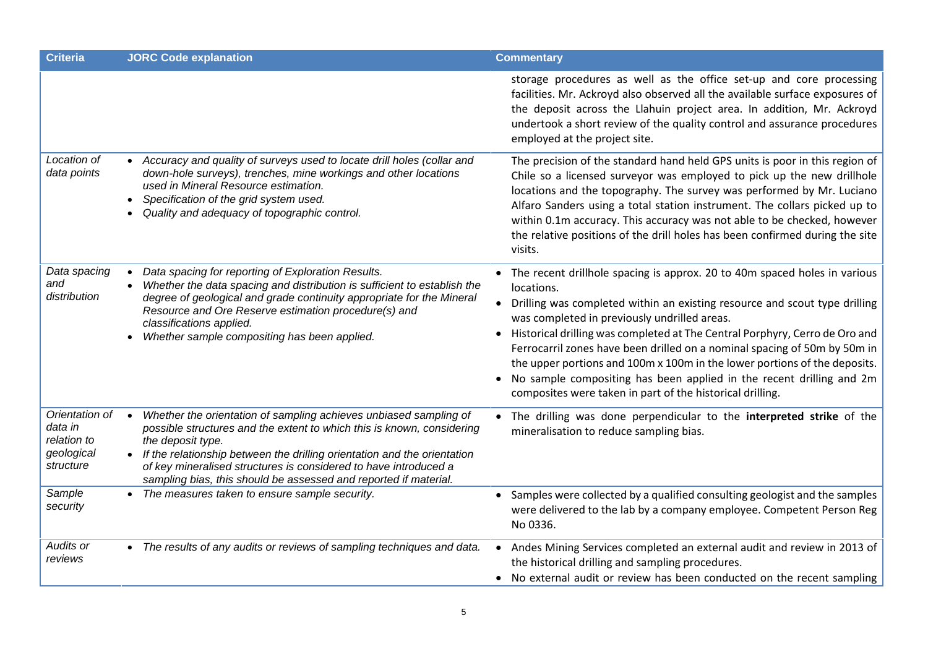| <b>Criteria</b>                                                     | <b>JORC Code explanation</b>                                                                                                                                                                                                                                                                                                                                                                      | <b>Commentary</b>                                                                                                                                                                                                                                                                                                                                                                                                                                                                                                                                                                                     |
|---------------------------------------------------------------------|---------------------------------------------------------------------------------------------------------------------------------------------------------------------------------------------------------------------------------------------------------------------------------------------------------------------------------------------------------------------------------------------------|-------------------------------------------------------------------------------------------------------------------------------------------------------------------------------------------------------------------------------------------------------------------------------------------------------------------------------------------------------------------------------------------------------------------------------------------------------------------------------------------------------------------------------------------------------------------------------------------------------|
|                                                                     |                                                                                                                                                                                                                                                                                                                                                                                                   | storage procedures as well as the office set-up and core processing<br>facilities. Mr. Ackroyd also observed all the available surface exposures of<br>the deposit across the Llahuin project area. In addition, Mr. Ackroyd<br>undertook a short review of the quality control and assurance procedures<br>employed at the project site.                                                                                                                                                                                                                                                             |
| Location of<br>data points                                          | Accuracy and quality of surveys used to locate drill holes (collar and<br>down-hole surveys), trenches, mine workings and other locations<br>used in Mineral Resource estimation.<br>Specification of the grid system used.<br>Quality and adequacy of topographic control.                                                                                                                       | The precision of the standard hand held GPS units is poor in this region of<br>Chile so a licensed surveyor was employed to pick up the new drillhole<br>locations and the topography. The survey was performed by Mr. Luciano<br>Alfaro Sanders using a total station instrument. The collars picked up to<br>within 0.1m accuracy. This accuracy was not able to be checked, however<br>the relative positions of the drill holes has been confirmed during the site<br>visits.                                                                                                                     |
| Data spacing<br>and<br>distribution                                 | Data spacing for reporting of Exploration Results.<br>Whether the data spacing and distribution is sufficient to establish the<br>degree of geological and grade continuity appropriate for the Mineral<br>Resource and Ore Reserve estimation procedure(s) and<br>classifications applied.<br>Whether sample compositing has been applied.                                                       | • The recent drillhole spacing is approx. 20 to 40m spaced holes in various<br>locations.<br>Drilling was completed within an existing resource and scout type drilling<br>was completed in previously undrilled areas.<br>Historical drilling was completed at The Central Porphyry, Cerro de Oro and<br>Ferrocarril zones have been drilled on a nominal spacing of 50m by 50m in<br>the upper portions and 100m x 100m in the lower portions of the deposits.<br>No sample compositing has been applied in the recent drilling and 2m<br>composites were taken in part of the historical drilling. |
| Orientation of<br>data in<br>relation to<br>geological<br>structure | Whether the orientation of sampling achieves unbiased sampling of<br>$\bullet$<br>possible structures and the extent to which this is known, considering<br>the deposit type.<br>If the relationship between the drilling orientation and the orientation<br>of key mineralised structures is considered to have introduced a<br>sampling bias, this should be assessed and reported if material. | The drilling was done perpendicular to the interpreted strike of the<br>mineralisation to reduce sampling bias.                                                                                                                                                                                                                                                                                                                                                                                                                                                                                       |
| Sample<br>security                                                  | • The measures taken to ensure sample security.                                                                                                                                                                                                                                                                                                                                                   | • Samples were collected by a qualified consulting geologist and the samples<br>were delivered to the lab by a company employee. Competent Person Reg<br>No 0336.                                                                                                                                                                                                                                                                                                                                                                                                                                     |
| Audits or<br>reviews                                                | • The results of any audits or reviews of sampling techniques and data.                                                                                                                                                                                                                                                                                                                           | Andes Mining Services completed an external audit and review in 2013 of<br>the historical drilling and sampling procedures.<br>• No external audit or review has been conducted on the recent sampling                                                                                                                                                                                                                                                                                                                                                                                                |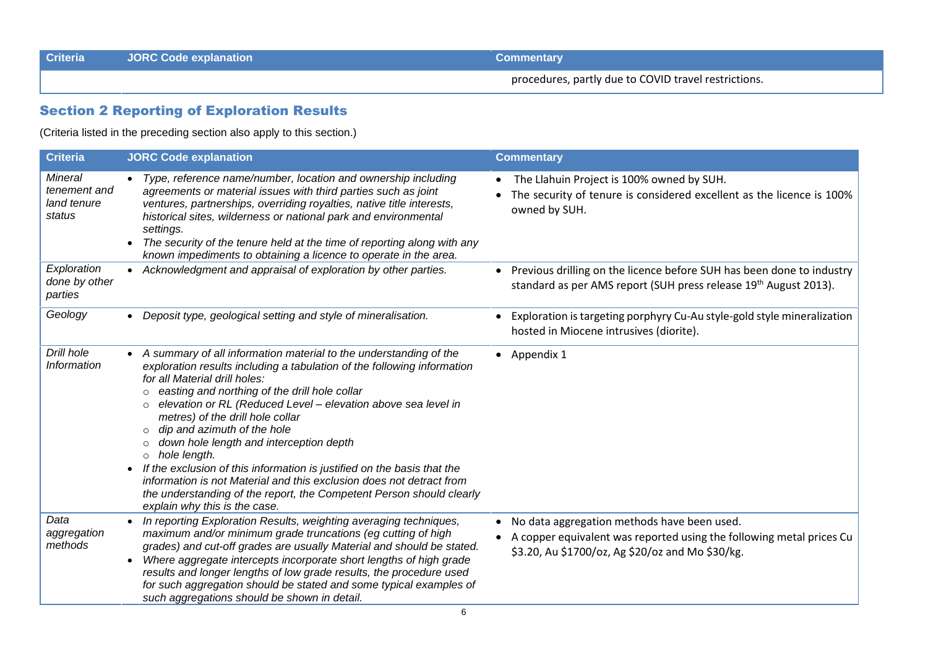**Criteria JORC Code explanation Commentary**

partly due to COVID travel restrictions.<br>
procedures, partly due to COVID travel restrictions.<br>
procedures, partly due to COVID travel restrictions.

### **<sup>2</sup> Reporting of Exploration Results**

|                                                         |                                                                                                                                                                                                                                                                                                                                                                                                                                                                                                                                                                                                                                                                                                                                             | procedures, partly due to COVID travel restrictions.                                                                                                                                   |
|---------------------------------------------------------|---------------------------------------------------------------------------------------------------------------------------------------------------------------------------------------------------------------------------------------------------------------------------------------------------------------------------------------------------------------------------------------------------------------------------------------------------------------------------------------------------------------------------------------------------------------------------------------------------------------------------------------------------------------------------------------------------------------------------------------------|----------------------------------------------------------------------------------------------------------------------------------------------------------------------------------------|
|                                                         | <b>Section 2 Reporting of Exploration Results</b>                                                                                                                                                                                                                                                                                                                                                                                                                                                                                                                                                                                                                                                                                           |                                                                                                                                                                                        |
|                                                         | (Criteria listed in the preceding section also apply to this section.)                                                                                                                                                                                                                                                                                                                                                                                                                                                                                                                                                                                                                                                                      |                                                                                                                                                                                        |
| <b>Criteria</b>                                         | <b>JORC Code explanation</b>                                                                                                                                                                                                                                                                                                                                                                                                                                                                                                                                                                                                                                                                                                                | <b>Commentary</b>                                                                                                                                                                      |
| <b>Mineral</b><br>tenement and<br>land tenure<br>status | • Type, reference name/number, location and ownership including<br>agreements or material issues with third parties such as joint<br>ventures, partnerships, overriding royalties, native title interests,<br>historical sites, wilderness or national park and environmental<br>settings.<br>The security of the tenure held at the time of reporting along with any<br>known impediments to obtaining a licence to operate in the area.                                                                                                                                                                                                                                                                                                   | • The Llahuin Project is 100% owned by SUH.<br>The security of tenure is considered excellent as the licence is 100%<br>$\bullet$<br>owned by SUH.                                     |
| Exploration<br>done by other<br>parties                 | • Acknowledgment and appraisal of exploration by other parties.                                                                                                                                                                                                                                                                                                                                                                                                                                                                                                                                                                                                                                                                             | • Previous drilling on the licence before SUH has been done to industry<br>standard as per AMS report (SUH press release 19 <sup>th</sup> August 2013).                                |
| Geology                                                 | • Deposit type, geological setting and style of mineralisation.                                                                                                                                                                                                                                                                                                                                                                                                                                                                                                                                                                                                                                                                             | Exploration is targeting porphyry Cu-Au style-gold style mineralization<br>hosted in Miocene intrusives (diorite).                                                                     |
| Drill hole<br>Information                               | • A summary of all information material to the understanding of the<br>exploration results including a tabulation of the following information<br>for all Material drill holes:<br>easting and northing of the drill hole collar<br>$\circ$<br>elevation or RL (Reduced Level - elevation above sea level in<br>$\circ$<br>metres) of the drill hole collar<br>dip and azimuth of the hole<br>$\circ$<br>down hole length and interception depth<br>$\circ$<br>o hole length.<br>• If the exclusion of this information is justified on the basis that the<br>information is not Material and this exclusion does not detract from<br>the understanding of the report, the Competent Person should clearly<br>explain why this is the case. | • Appendix 1                                                                                                                                                                           |
| Data<br>aggregation<br>methods                          | In reporting Exploration Results, weighting averaging techniques,<br>maximum and/or minimum grade truncations (eg cutting of high<br>grades) and cut-off grades are usually Material and should be stated.<br>Where aggregate intercepts incorporate short lengths of high grade<br>$\bullet$<br>results and longer lengths of low grade results, the procedure used<br>for such aggregation should be stated and some typical examples of<br>such aggregations should be shown in detail.                                                                                                                                                                                                                                                  | • No data aggregation methods have been used.<br>A copper equivalent was reported using the following metal prices Cu<br>$\bullet$<br>\$3.20, Au \$1700/oz, Ag \$20/oz and Mo \$30/kg. |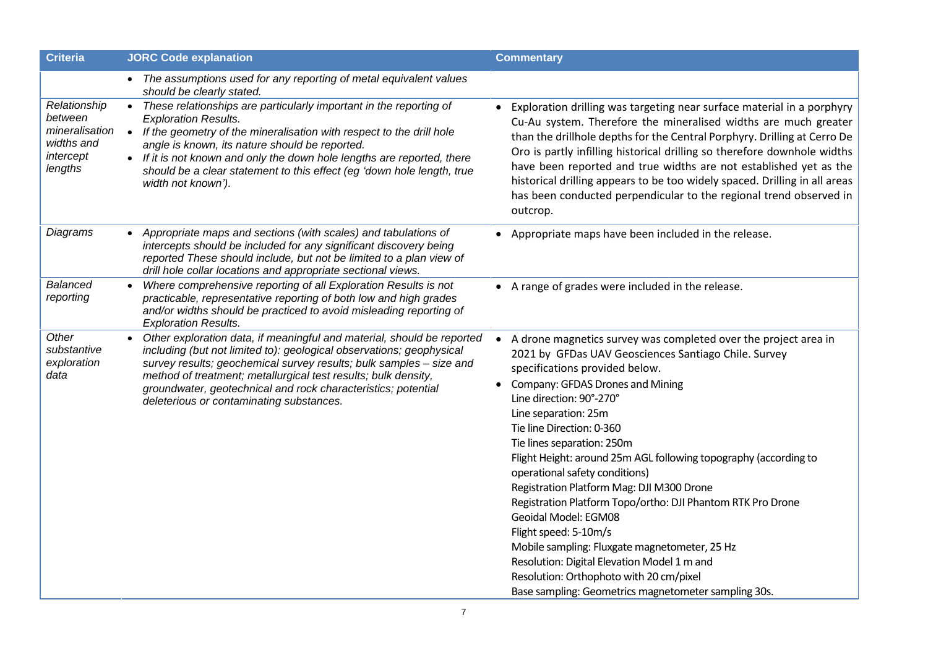| <b>Criteria</b>                                                                 | <b>JORC Code explanation</b>                                                                                                                                                                                                                                                                                                                                                                                        | <b>Commentary</b>                                                                                                                                                                                                                                                                                                                                                                                                                                                                                                                                                                                                                                                                                                                                                                  |
|---------------------------------------------------------------------------------|---------------------------------------------------------------------------------------------------------------------------------------------------------------------------------------------------------------------------------------------------------------------------------------------------------------------------------------------------------------------------------------------------------------------|------------------------------------------------------------------------------------------------------------------------------------------------------------------------------------------------------------------------------------------------------------------------------------------------------------------------------------------------------------------------------------------------------------------------------------------------------------------------------------------------------------------------------------------------------------------------------------------------------------------------------------------------------------------------------------------------------------------------------------------------------------------------------------|
|                                                                                 | The assumptions used for any reporting of metal equivalent values<br>should be clearly stated.                                                                                                                                                                                                                                                                                                                      |                                                                                                                                                                                                                                                                                                                                                                                                                                                                                                                                                                                                                                                                                                                                                                                    |
| Relationship<br>between<br>mineralisation<br>widths and<br>intercept<br>lengths | These relationships are particularly important in the reporting of<br><b>Exploration Results.</b><br>If the geometry of the mineralisation with respect to the drill hole<br>$\bullet$<br>angle is known, its nature should be reported.<br>• If it is not known and only the down hole lengths are reported, there<br>should be a clear statement to this effect (eg 'down hole length, true<br>width not known'). | Exploration drilling was targeting near surface material in a porphyry<br>Cu-Au system. Therefore the mineralised widths are much greater<br>than the drillhole depths for the Central Porphyry. Drilling at Cerro De<br>Oro is partly infilling historical drilling so therefore downhole widths<br>have been reported and true widths are not established yet as the<br>historical drilling appears to be too widely spaced. Drilling in all areas<br>has been conducted perpendicular to the regional trend observed in<br>outcrop.                                                                                                                                                                                                                                             |
| Diagrams                                                                        | Appropriate maps and sections (with scales) and tabulations of<br>intercepts should be included for any significant discovery being<br>reported These should include, but not be limited to a plan view of<br>drill hole collar locations and appropriate sectional views.                                                                                                                                          | • Appropriate maps have been included in the release.                                                                                                                                                                                                                                                                                                                                                                                                                                                                                                                                                                                                                                                                                                                              |
| Balanced<br>reporting                                                           | Where comprehensive reporting of all Exploration Results is not<br>practicable, representative reporting of both low and high grades<br>and/or widths should be practiced to avoid misleading reporting of<br><b>Exploration Results.</b>                                                                                                                                                                           | • A range of grades were included in the release.                                                                                                                                                                                                                                                                                                                                                                                                                                                                                                                                                                                                                                                                                                                                  |
| Other<br>substantive<br>exploration<br>data                                     | Other exploration data, if meaningful and material, should be reported<br>including (but not limited to): geological observations; geophysical<br>survey results; geochemical survey results; bulk samples - size and<br>method of treatment; metallurgical test results; bulk density,<br>groundwater, geotechnical and rock characteristics; potential<br>deleterious or contaminating substances.                | A drone magnetics survey was completed over the project area in<br>2021 by GFDas UAV Geosciences Santiago Chile. Survey<br>specifications provided below.<br>Company: GFDAS Drones and Mining<br>Line direction: 90°-270°<br>Line separation: 25m<br>Tie line Direction: 0-360<br>Tie lines separation: 250m<br>Flight Height: around 25m AGL following topography (according to<br>operational safety conditions)<br>Registration Platform Mag: DJI M300 Drone<br>Registration Platform Topo/ortho: DJI Phantom RTK Pro Drone<br>Geoidal Model: EGM08<br>Flight speed: 5-10m/s<br>Mobile sampling: Fluxgate magnetometer, 25 Hz<br>Resolution: Digital Elevation Model 1 m and<br>Resolution: Orthophoto with 20 cm/pixel<br>Base sampling: Geometrics magnetometer sampling 30s. |